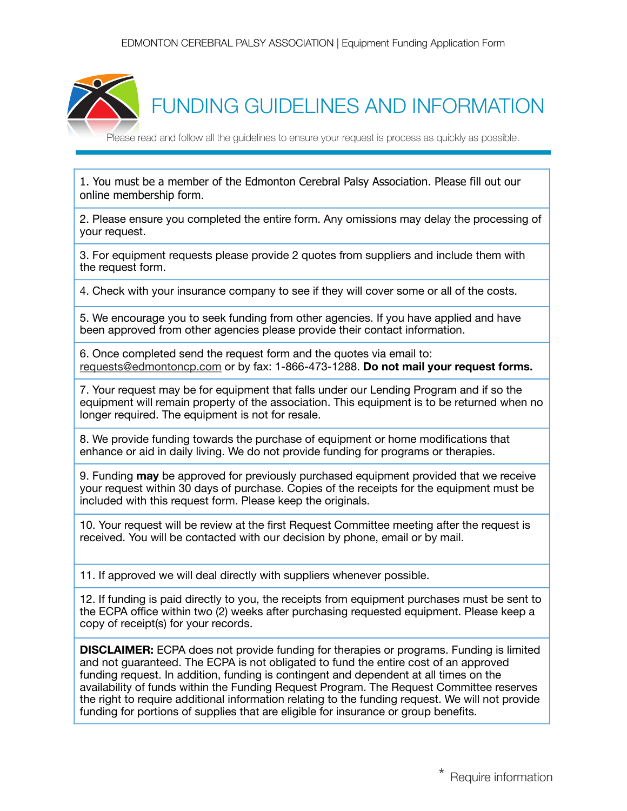

1. You must be a member of the Edmonton Cerebral Palsy Association. Please fill out our online membership form.

2. Please ensure you completed the entire form. Any omissions may delay the processing of your request.

3. For equipment requests please provide 2 quotes from suppliers and include them with the request form.

4. Check with your insurance company to see if they will cover some or all of the costs.

5. We encourage you to seek funding from other agencies. If you have applied and have been approved from other agencies please provide their contact information.

6. Once completed send the request form and the quotes via email to: requests@edmontoncp.com or by fax: 1-866-473-1288. **Do not mail your request forms.**

7. Your request may be for equipment that falls under our Lending Program and if so the equipment will remain property of the association. This equipment is to be returned when no longer required. The equipment is not for resale.

8. We provide funding towards the purchase of equipment or home modifications that enhance or aid in daily living. We do not provide funding for programs or therapies.

9. Funding **may** be approved for previously purchased equipment provided that we receive your request within 30 days of purchase. Copies of the receipts for the equipment must be included with this request form. Please keep the originals.

10. Your request will be review at the first Request Committee meeting after the request is received. You will be contacted with our decision by phone, email or by mail.

11. If approved we will deal directly with suppliers whenever possible.

12. If funding is paid directly to you, the receipts from equipment purchases must be sent to the ECPA office within two (2) weeks after purchasing requested equipment. Please keep a copy of receipt(s) for your records.

**DISCLAIMER:** ECPA does not provide funding for therapies or programs. Funding is limited and not guaranteed. The ECPA is not obligated to fund the entire cost of an approved funding request. In addition, funding is contingent and dependent at all times on the availability of funds within the Funding Request Program. The Request Committee reserves the right to require additional information relating to the funding request. We will not provide funding for portions of supplies that are eligible for insurance or group benefits.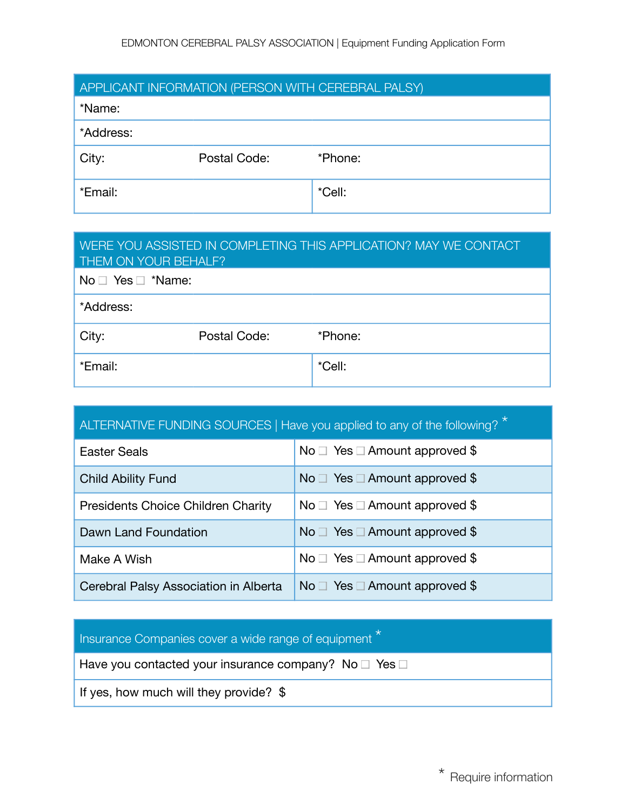| APPLICANT INFORMATION (PERSON WITH CEREBRAL PALSY) |              |         |  |
|----------------------------------------------------|--------------|---------|--|
| *Name:                                             |              |         |  |
| *Address:                                          |              |         |  |
| City:                                              | Postal Code: | *Phone: |  |
| *Email:                                            |              | *Cell:  |  |

| WERE YOU ASSISTED IN COMPLETING THIS APPLICATION? MAY WE CONTACT<br>THEM ON YOUR BEHALF? |              |         |
|------------------------------------------------------------------------------------------|--------------|---------|
| $No \Box Yes \Box$ *Name:                                                                |              |         |
| *Address:                                                                                |              |         |
| City:                                                                                    | Postal Code: | *Phone: |
| *Email:                                                                                  |              | *Cell:  |

| ALTERNATIVE FUNDING SOURCES   Have you applied to any of the following? |                                         |  |
|-------------------------------------------------------------------------|-----------------------------------------|--|
| <b>Easter Seals</b>                                                     | No $\Box$ Yes $\Box$ Amount approved \$ |  |
| <b>Child Ability Fund</b>                                               | No $\Box$ Yes $\Box$ Amount approved \$ |  |
| <b>Presidents Choice Children Charity</b>                               | No $\Box$ Yes $\Box$ Amount approved \$ |  |
| Dawn Land Foundation                                                    | No $\Box$ Yes $\Box$ Amount approved \$ |  |
| Make A Wish                                                             | No $\Box$ Yes $\Box$ Amount approved \$ |  |
| Cerebral Palsy Association in Alberta                                   | No $\Box$ Yes $\Box$ Amount approved \$ |  |

## Insurance Companies cover a wide range of equipment \*

Have you contacted your insurance company? No  $\square$  Yes  $\square$ 

If yes, how much will they provide? \$